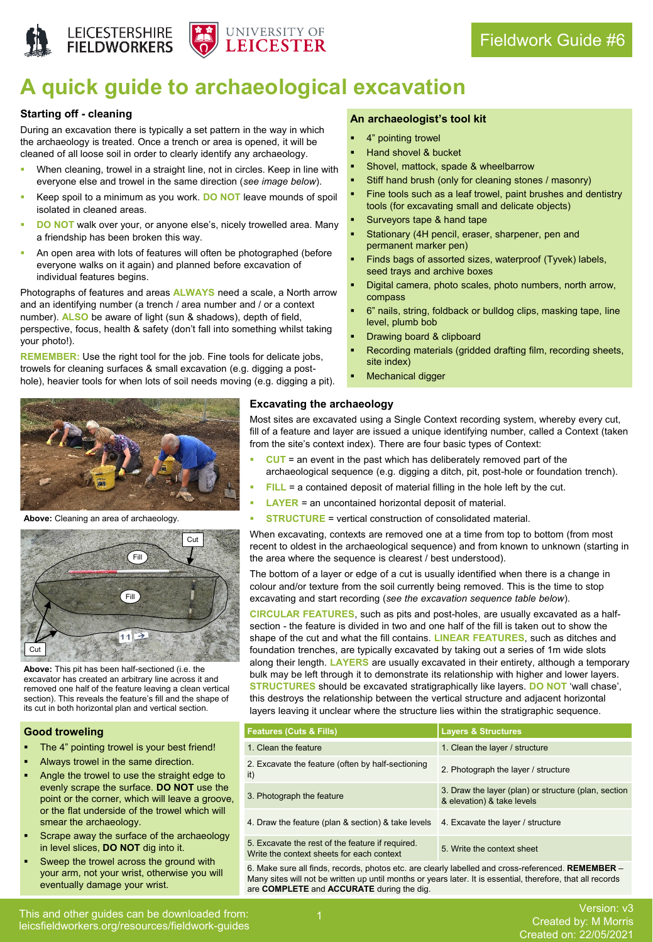



# **A quick guide to archaeological excavation**

## **Starting off - cleaning**

During an excavation there is typically a set pattern in the way in which the archaeology is treated. Once a trench or area is opened, it will be cleaned of all loose soil in order to clearly identify any archaeology.

- When cleaning, trowel in a straight line, not in circles. Keep in line with everyone else and trowel in the same direction (*see image below*).
- Keep spoil to a minimum as you work. **DO NOT** leave mounds of spoil isolated in cleaned areas.
- **DO NOT** walk over your, or anyone else's, nicely trowelled area. Many a friendship has been broken this way.
- An open area with lots of features will often be photographed (before everyone walks on it again) and planned before excavation of individual features begins.

Photographs of features and areas **ALWAYS** need a scale, a North arrow and an identifying number (a trench / area number and / or a context number). **ALSO** be aware of light (sun & shadows), depth of field, perspective, focus, health & safety (don't fall into something whilst taking your photo!).

**REMEMBER:** Use the right tool for the job. Fine tools for delicate jobs, trowels for cleaning surfaces & small excavation (e.g. digging a posthole), heavier tools for when lots of soil needs moving (e.g. digging a pit).



**Above:** Cleaning an area of archaeology.



**Above:** This pit has been half-sectioned (i.e. the excavator has created an arbitrary line across it and removed one half of the feature leaving a clean vertical section). This reveals the feature's fill and the shape of its cut in both horizontal plan and vertical section.

#### **Good troweling**

- The 4" pointing trowel is your best friend!
- Always trowel in the same direction.
- Angle the trowel to use the straight edge to evenly scrape the surface. **DO NOT** use the point or the corner, which will leave a groove, or the flat underside of the trowel which will smear the archaeology.
- Scrape away the surface of the archaeology in level slices, **DO NOT** dig into it.
- Sweep the trowel across the ground with your arm, not your wrist, otherwise you will eventually damage your wrist.
- 4" pointing trowel
- Hand shovel & bucket
- Shovel, mattock, spade & wheelbarrow
- Stiff hand brush (only for cleaning stones / masonry)
- Fine tools such as a leaf trowel, paint brushes and dentistry tools (for excavating small and delicate objects)
- Surveyors tape & hand tape
- Stationary (4H pencil, eraser, sharpener, pen and permanent marker pen)
- Finds bags of assorted sizes, waterproof (Tyvek) labels, seed trays and archive boxes
- Digital camera, photo scales, photo numbers, north arrow, compass
- 6" nails, string, foldback or bulldog clips, masking tape, line level, plumb bob
- Drawing board & clipboard
- Recording materials (gridded drafting film, recording sheets, site index)
- **Mechanical digger**

### **Excavating the archaeology**

Most sites are excavated using a Single Context recording system, whereby every cut, fill of a feature and layer are issued a unique identifying number, called a Context (taken from the site's context index). There are four basic types of Context:

- **CUT** = an event in the past which has deliberately removed part of the archaeological sequence (e.g. digging a ditch, pit, post-hole or foundation trench).
- **FILL** = a contained deposit of material filling in the hole left by the cut.
- **LAYER** = an uncontained horizontal deposit of material.
- **STRUCTURE** = vertical construction of consolidated material.

When excavating, contexts are removed one at a time from top to bottom (from most recent to oldest in the archaeological sequence) and from known to unknown (starting in the area where the sequence is clearest / best understood).

The bottom of a layer or edge of a cut is usually identified when there is a change in colour and/or texture from the soil currently being removed. This is the time to stop excavating and start recording (*see the excavation sequence table below*).

**CIRCULAR FEATURES**, such as pits and post-holes, are usually excavated as a halfsection - the feature is divided in two and one half of the fill is taken out to show the shape of the cut and what the fill contains. **LINEAR FEATURES**, such as ditches and foundation trenches, are typically excavated by taking out a series of 1m wide slots along their length. **LAYERS** are usually excavated in their entirety, although a temporary bulk may be left through it to demonstrate its relationship with higher and lower layers. **STRUCTURES** should be excavated stratigraphically like layers. **DO NOT** 'wall chase', this destroys the relationship between the vertical structure and adjacent horizontal layers leaving it unclear where the structure lies within the stratigraphic sequence.

| <b>Features (Cuts &amp; Fills)</b>                                                                 | <b>Layers &amp; Structures</b>                                                     |
|----------------------------------------------------------------------------------------------------|------------------------------------------------------------------------------------|
| 1. Clean the feature                                                                               | 1. Clean the layer / structure                                                     |
| 2. Excavate the feature (often by half-sectioning<br>it)                                           | 2. Photograph the layer / structure                                                |
| 3. Photograph the feature                                                                          | 3. Draw the layer (plan) or structure (plan, section<br>& elevation) & take levels |
| 4. Draw the feature (plan & section) & take levels                                                 | 4. Excavate the layer / structure                                                  |
| 5. Excavate the rest of the feature if required.<br>Write the context sheets for each context      | 5. Write the context sheet                                                         |
| 6. Make sure all finds, records, photos etc. are clearly labelled and cross-referenced. REMEMBER - |                                                                                    |

Many sites will not be written up until months or years later. It is essential, therefore, that all records are **COMPLETE** and **ACCURATE** during the dig.